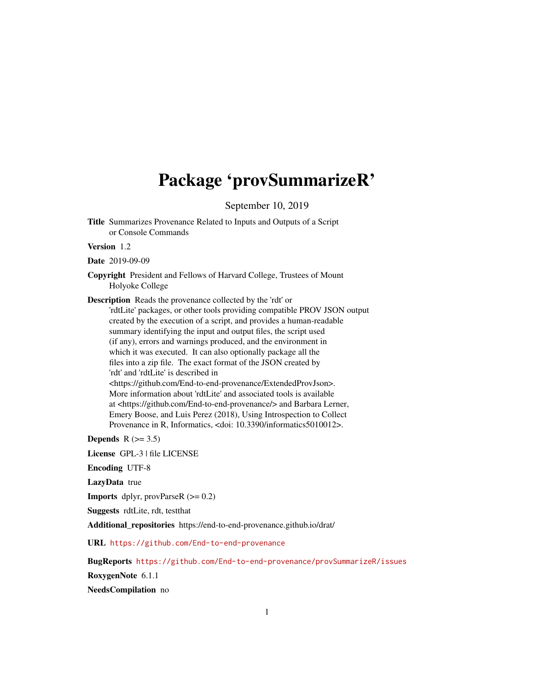## Package 'provSummarizeR'

September 10, 2019

Title Summarizes Provenance Related to Inputs and Outputs of a Script or Console Commands

Version 1.2

Date 2019-09-09

Copyright President and Fellows of Harvard College, Trustees of Mount Holyoke College

Description Reads the provenance collected by the 'rdt' or

'rdtLite' packages, or other tools providing compatible PROV JSON output created by the execution of a script, and provides a human-readable summary identifying the input and output files, the script used (if any), errors and warnings produced, and the environment in which it was executed. It can also optionally package all the files into a zip file. The exact format of the JSON created by 'rdt' and 'rdtLite' is described in <https://github.com/End-to-end-provenance/ExtendedProvJson>. More information about 'rdtLite' and associated tools is available at <https://github.com/End-to-end-provenance/> and Barbara Lerner, Emery Boose, and Luis Perez (2018), Using Introspection to Collect

Provenance in R, Informatics, <doi: 10.3390/informatics5010012>.

Depends  $R$  ( $>= 3.5$ )

License GPL-3 | file LICENSE

Encoding UTF-8

LazyData true

**Imports** dplyr, provParseR  $(>= 0.2)$ 

Suggests rdtLite, rdt, testthat

Additional\_repositories https://end-to-end-provenance.github.io/drat/

URL <https://github.com/End-to-end-provenance>

BugReports <https://github.com/End-to-end-provenance/provSummarizeR/issues>

RoxygenNote 6.1.1

NeedsCompilation no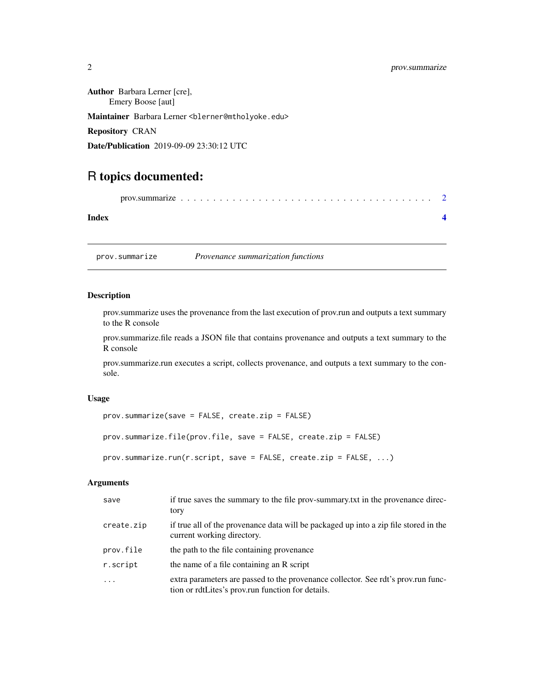#### <span id="page-1-0"></span>2 prov.summarize

Author Barbara Lerner [cre], Emery Boose [aut] Maintainer Barbara Lerner <blerner@mtholyoke.edu> Repository CRAN Date/Publication 2019-09-09 23:30:12 UTC

### R topics documented:

prov.summarize . . . . . . . . . . . . . . . . . . . . . . . . . . . . . . . . . . . . . . . [2](#page-1-0)

#### **Index** [4](#page-3-0)

prov.summarize *Provenance summarization functions*

#### Description

prov.summarize uses the provenance from the last execution of prov.run and outputs a text summary to the R console

prov.summarize.file reads a JSON file that contains provenance and outputs a text summary to the R console

prov.summarize.run executes a script, collects provenance, and outputs a text summary to the console.

#### Usage

```
prov.summarize(save = FALSE, create.zip = FALSE)
```

```
prov.summarize.file(prov.file, save = FALSE, create.zip = FALSE)
```

```
prov.summarize.run(r.script, save = FALSE, create.zip = FALSE, ...)
```
#### Arguments

| save       | if true saves the summary to the file prov-summary txt in the provenance direc-<br>tory                                                |
|------------|----------------------------------------------------------------------------------------------------------------------------------------|
| create.zip | if true all of the provenance data will be packaged up into a zip file stored in the<br>current working directory.                     |
| prov.file  | the path to the file containing provenance                                                                                             |
| r.script   | the name of a file containing an R script                                                                                              |
| $\ddots$ . | extra parameters are passed to the provenance collector. See rdt's prov.run func-<br>tion or rdtLites's prov.run function for details. |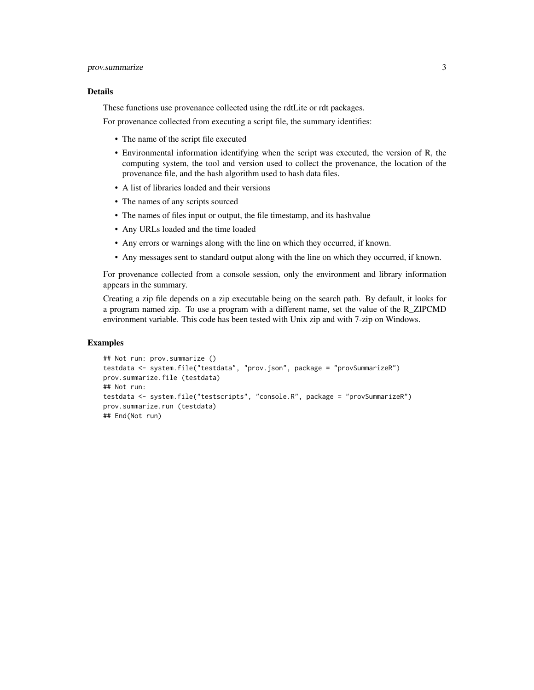#### prov.summarize 3

#### Details

These functions use provenance collected using the rdtLite or rdt packages.

For provenance collected from executing a script file, the summary identifies:

- The name of the script file executed
- Environmental information identifying when the script was executed, the version of R, the computing system, the tool and version used to collect the provenance, the location of the provenance file, and the hash algorithm used to hash data files.
- A list of libraries loaded and their versions
- The names of any scripts sourced
- The names of files input or output, the file timestamp, and its hashvalue
- Any URLs loaded and the time loaded
- Any errors or warnings along with the line on which they occurred, if known.
- Any messages sent to standard output along with the line on which they occurred, if known.

For provenance collected from a console session, only the environment and library information appears in the summary.

Creating a zip file depends on a zip executable being on the search path. By default, it looks for a program named zip. To use a program with a different name, set the value of the R\_ZIPCMD environment variable. This code has been tested with Unix zip and with 7-zip on Windows.

#### Examples

```
## Not run: prov.summarize ()
testdata <- system.file("testdata", "prov.json", package = "provSummarizeR")
prov.summarize.file (testdata)
## Not run:
testdata <- system.file("testscripts", "console.R", package = "provSummarizeR")
prov.summarize.run (testdata)
## End(Not run)
```